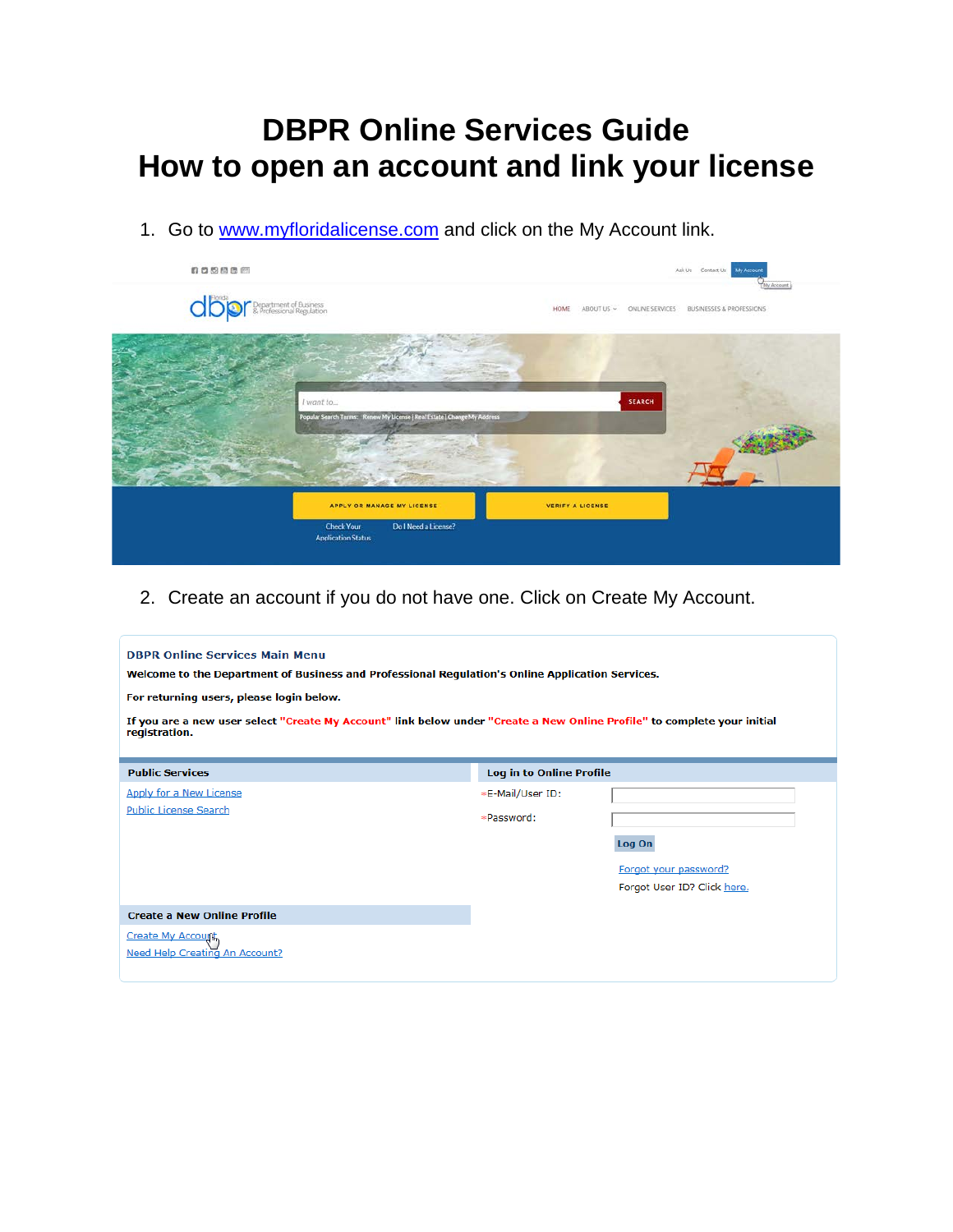# **DBPR Online Services Guide How to open an account and link your license**

1. Go to [www.myfloridalicense.com](http://www.myfloridalicense.com/) and click on the My Account link.



2. Create an account if you do not have one. Click on Create My Account.

| <b>DBPR Online Services Main Menu</b><br>Welcome to the Department of Business and Professional Regulation's Online Application Services.<br>For returning users, please login below.<br>If you are a new user select "Create My Account" link below under "Create a New Online Profile" to complete your initial<br>registration. |                                |                                                                |  |  |
|------------------------------------------------------------------------------------------------------------------------------------------------------------------------------------------------------------------------------------------------------------------------------------------------------------------------------------|--------------------------------|----------------------------------------------------------------|--|--|
| <b>Public Services</b>                                                                                                                                                                                                                                                                                                             | Log in to Online Profile       |                                                                |  |  |
| Apply for a New License<br><b>Public License Search</b>                                                                                                                                                                                                                                                                            | *E-Mail/User ID:<br>*Password: | Log On<br>Forgot your password?<br>Forgot User ID? Click here. |  |  |
| <b>Create a New Online Profile</b><br>Create My Account<br>Need Help Creating An Account?                                                                                                                                                                                                                                          |                                |                                                                |  |  |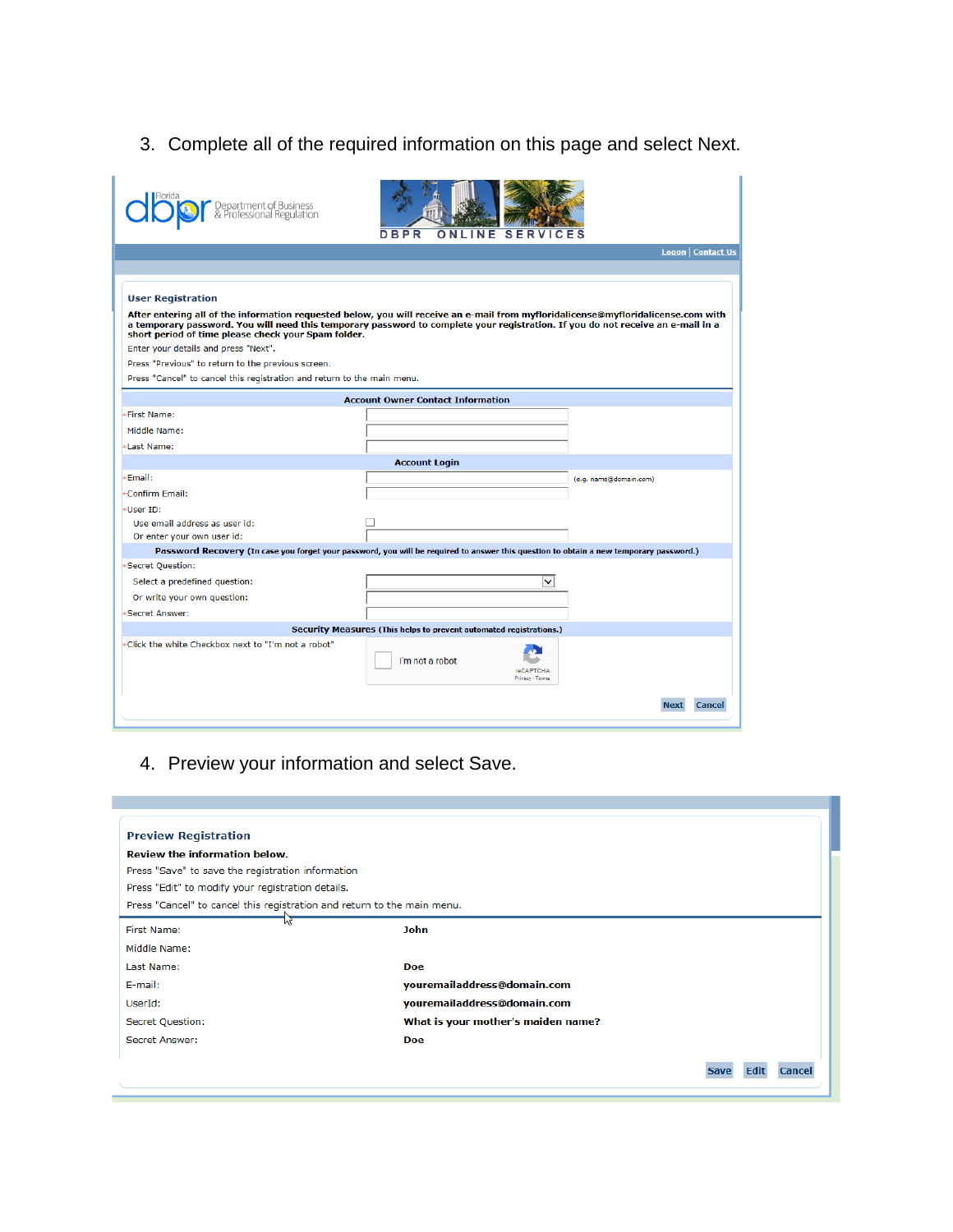3. Complete all of the required information on this page and select Next.

| Department of Business<br>& Professional Regulation                                                                                                                                                                                                                                                                         | SER<br>DBPR<br>ONLINE                                              |                              |
|-----------------------------------------------------------------------------------------------------------------------------------------------------------------------------------------------------------------------------------------------------------------------------------------------------------------------------|--------------------------------------------------------------------|------------------------------|
|                                                                                                                                                                                                                                                                                                                             |                                                                    | Logon   Contact Us           |
|                                                                                                                                                                                                                                                                                                                             |                                                                    |                              |
| <b>User Registration</b>                                                                                                                                                                                                                                                                                                    |                                                                    |                              |
| After entering all of the information requested below, you will receive an e-mail from myfloridalicense@myfloridalicense.com with<br>a temporary password. You will need this temporary password to complete your registration. If you do not receive an e-mail in a<br>short period of time please check your Spam folder. |                                                                    |                              |
| Enter your details and press "Next".                                                                                                                                                                                                                                                                                        |                                                                    |                              |
| Press "Previous" to return to the previous screen.                                                                                                                                                                                                                                                                          |                                                                    |                              |
| Press "Cancel" to cancel this registration and return to the main menu.                                                                                                                                                                                                                                                     |                                                                    |                              |
|                                                                                                                                                                                                                                                                                                                             | <b>Account Owner Contact Information</b>                           |                              |
| First Name:                                                                                                                                                                                                                                                                                                                 |                                                                    |                              |
| Middle Name:                                                                                                                                                                                                                                                                                                                |                                                                    |                              |
| Last Name:                                                                                                                                                                                                                                                                                                                  |                                                                    |                              |
|                                                                                                                                                                                                                                                                                                                             | <b>Account Login</b>                                               |                              |
| Email:                                                                                                                                                                                                                                                                                                                      |                                                                    | (e.g. name@domain.com)       |
| Confirm Email:                                                                                                                                                                                                                                                                                                              |                                                                    |                              |
| User ID:                                                                                                                                                                                                                                                                                                                    |                                                                    |                              |
| Use email address as user id:                                                                                                                                                                                                                                                                                               |                                                                    |                              |
| Or enter your own user id:                                                                                                                                                                                                                                                                                                  |                                                                    |                              |
| Password Recovery (In case you forget your password, you will be required to answer this question to obtain a new temporary password.)<br><b>Secret Ouestion:</b>                                                                                                                                                           |                                                                    |                              |
| Select a predefined question:                                                                                                                                                                                                                                                                                               |                                                                    | ◡                            |
| Or write your own question:                                                                                                                                                                                                                                                                                                 |                                                                    |                              |
| Secret Answer:                                                                                                                                                                                                                                                                                                              |                                                                    |                              |
|                                                                                                                                                                                                                                                                                                                             | Security Measures (This helps to prevent automated registrations.) |                              |
| Click the white Checkbox next to "I'm not a robot"                                                                                                                                                                                                                                                                          |                                                                    |                              |
|                                                                                                                                                                                                                                                                                                                             | I'm not a robot                                                    | reCAPTCHA<br>Privacy - Terms |
|                                                                                                                                                                                                                                                                                                                             |                                                                    | <b>Next</b><br>Cancel        |

4. Preview your information and select Save.

| <b>Preview Registration</b>                                             |                                    |  |
|-------------------------------------------------------------------------|------------------------------------|--|
| <b>Review the information below.</b>                                    |                                    |  |
| Press "Save" to save the registration information                       |                                    |  |
| Press "Edit" to modify your registration details.                       |                                    |  |
| Press "Cancel" to cancel this registration and return to the main menu. |                                    |  |
| W<br>First Name:                                                        | <b>John</b>                        |  |
| Middle Name:                                                            |                                    |  |
| Last Name:                                                              | <b>Doe</b>                         |  |
| E-mail:                                                                 | youremailaddress@domain.com        |  |
| UserId:                                                                 | youremailaddress@domain.com        |  |
| Secret Question:                                                        | What is your mother's maiden name? |  |
| Secret Answer:                                                          | Doe                                |  |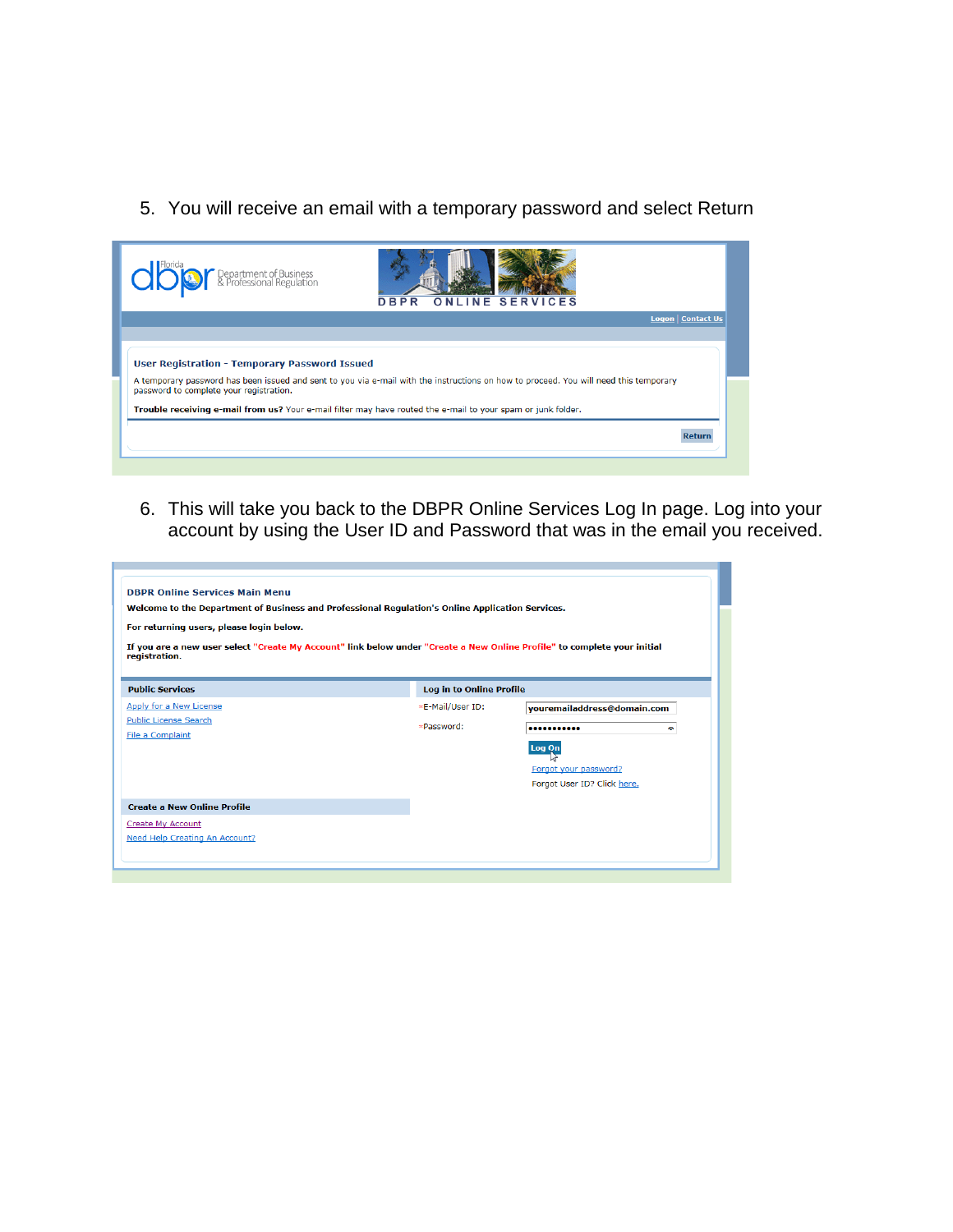5. You will receive an email with a temporary password and select Return

| Department of Business<br>& Professional Regulation                                                                                                                              | <b>ONLINE SERVICES</b><br><b>DBPR</b> |  |
|----------------------------------------------------------------------------------------------------------------------------------------------------------------------------------|---------------------------------------|--|
|                                                                                                                                                                                  | <b>Logon   Contact Us</b>             |  |
|                                                                                                                                                                                  |                                       |  |
| <b>User Registration - Temporary Password Issued</b>                                                                                                                             |                                       |  |
| A temporary password has been issued and sent to you via e-mail with the instructions on how to proceed. You will need this temporary<br>password to complete your registration. |                                       |  |
| Trouble receiving e-mail from us? Your e-mail filter may have routed the e-mail to your spam or junk folder.                                                                     |                                       |  |
|                                                                                                                                                                                  | Retur                                 |  |

6. This will take you back to the DBPR Online Services Log In page. Log into your account by using the User ID and Password that was in the email you received.

| Welcome to the Department of Business and Professional Regulation's Online Application Services.<br>For returning users, please login below.<br>If you are a new user select "Create My Account" link below under "Create a New Online Profile" to complete your initial<br>registration. |                          |                             |  |  |
|-------------------------------------------------------------------------------------------------------------------------------------------------------------------------------------------------------------------------------------------------------------------------------------------|--------------------------|-----------------------------|--|--|
| <b>Public Services</b>                                                                                                                                                                                                                                                                    | Log in to Online Profile |                             |  |  |
| Apply for a New License                                                                                                                                                                                                                                                                   | *E-Mail/User ID:         | vouremailaddress@domain.com |  |  |
| <b>Public License Search</b>                                                                                                                                                                                                                                                              | *Password:               | <br>۰                       |  |  |
| File a Complaint                                                                                                                                                                                                                                                                          |                          | Log Qn                      |  |  |
|                                                                                                                                                                                                                                                                                           |                          | Forgot your password?       |  |  |
|                                                                                                                                                                                                                                                                                           |                          | Forgot User ID? Click here. |  |  |
|                                                                                                                                                                                                                                                                                           |                          |                             |  |  |
|                                                                                                                                                                                                                                                                                           |                          |                             |  |  |
| <b>Create a New Online Profile</b><br><b>Create My Account</b>                                                                                                                                                                                                                            |                          |                             |  |  |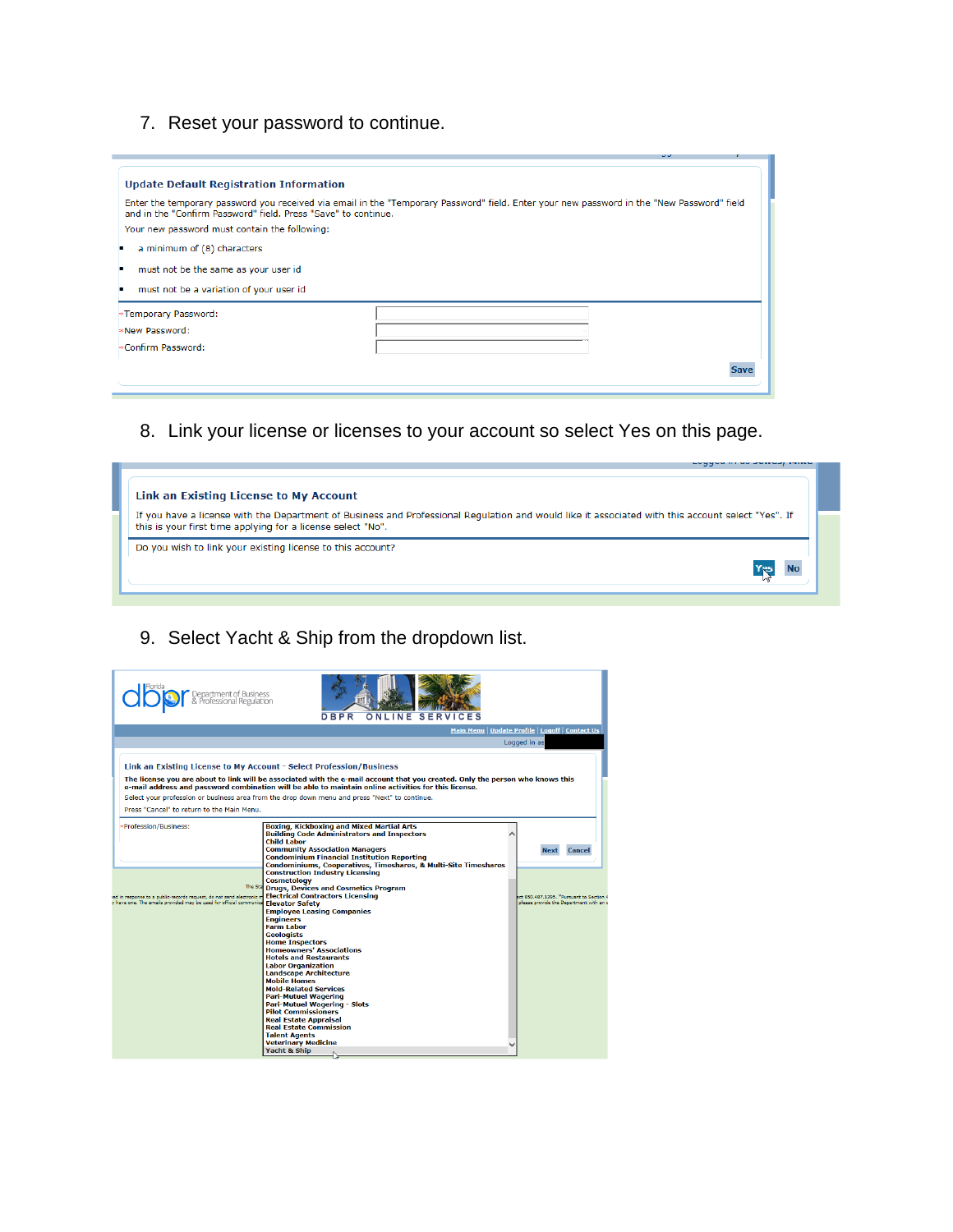# 7. Reset your password to continue.

| <b>Update Default Registration Information</b>                                                                                                                                                               |             |  |  |  |
|--------------------------------------------------------------------------------------------------------------------------------------------------------------------------------------------------------------|-------------|--|--|--|
| Enter the temporary password you received via email in the "Temporary Password" field. Enter your new password in the "New Password" field<br>and in the "Confirm Password" field. Press "Save" to continue. |             |  |  |  |
| Your new password must contain the following:                                                                                                                                                                |             |  |  |  |
| a minimum of (8) characters                                                                                                                                                                                  |             |  |  |  |
| must not be the same as your user id                                                                                                                                                                         |             |  |  |  |
| must not be a variation of your user id                                                                                                                                                                      |             |  |  |  |
| *Temporary Password:                                                                                                                                                                                         |             |  |  |  |
| New Password:                                                                                                                                                                                                |             |  |  |  |
| ⊧Confirm Password:                                                                                                                                                                                           |             |  |  |  |
|                                                                                                                                                                                                              | <b>Save</b> |  |  |  |
|                                                                                                                                                                                                              |             |  |  |  |

8. Link your license or licenses to your account so select Yes on this page.

|                                                                                                                                                   | marketing out me wasse |  |
|---------------------------------------------------------------------------------------------------------------------------------------------------|------------------------|--|
|                                                                                                                                                   |                        |  |
|                                                                                                                                                   |                        |  |
| Link an Existing License to My Account                                                                                                            |                        |  |
|                                                                                                                                                   |                        |  |
| If you have a license with the Department of Business and Professional Regulation and would like it associated with this account select "Yes". If |                        |  |
|                                                                                                                                                   |                        |  |
| this is your first time applying for a license select "No".                                                                                       |                        |  |
|                                                                                                                                                   |                        |  |
| Do you wish to link your existing license to this account?                                                                                        |                        |  |
|                                                                                                                                                   |                        |  |
|                                                                                                                                                   |                        |  |
|                                                                                                                                                   |                        |  |
|                                                                                                                                                   |                        |  |
|                                                                                                                                                   |                        |  |

# 9. Select Yacht & Ship from the dropdown list.

| Department of Business<br>& Professional Regulation                                                                                                          | DBPR<br>S F                                                                                                                                                                                                                                                                                                                                                                                                                                                                                                                                                                                                                                                          |                                                                                 |
|--------------------------------------------------------------------------------------------------------------------------------------------------------------|----------------------------------------------------------------------------------------------------------------------------------------------------------------------------------------------------------------------------------------------------------------------------------------------------------------------------------------------------------------------------------------------------------------------------------------------------------------------------------------------------------------------------------------------------------------------------------------------------------------------------------------------------------------------|---------------------------------------------------------------------------------|
|                                                                                                                                                              |                                                                                                                                                                                                                                                                                                                                                                                                                                                                                                                                                                                                                                                                      | Main Menu   Update Profile   Logoff   Contact Us                                |
|                                                                                                                                                              |                                                                                                                                                                                                                                                                                                                                                                                                                                                                                                                                                                                                                                                                      | Logged in as                                                                    |
| Link an Existing License to My Account - Select Profession/Business                                                                                          | The license you are about to link will be associated with the e-mail account that you created. Only the person who knows this<br>e-mail address and password combination will be able to maintain online activities for this license.<br>Select your profession or business area from the drop down menu and press "Next" to continue.                                                                                                                                                                                                                                                                                                                               |                                                                                 |
| Press "Cancel" to return to the Main Menu.                                                                                                                   |                                                                                                                                                                                                                                                                                                                                                                                                                                                                                                                                                                                                                                                                      |                                                                                 |
| Profession/Business:                                                                                                                                         | <b>Boxing, Kickboxing and Mixed Martial Arts</b><br><b>Building Code Administrators and Inspectors</b><br><b>Child Labor</b><br><b>Community Association Managers</b><br><b>Condominium Financial Institution Reporting</b><br>Condominiums, Cooperatives, Timeshares, & Multi-Site Timeshares                                                                                                                                                                                                                                                                                                                                                                       | <b>Next</b><br><b>Cancel</b>                                                    |
| <b>The Sta</b><br>ad in response to a public-records request, do not send electronic m<br>v have one. The emails provided may be used for official communica | <b>Construction Industry Licensing</b><br><b>Cosmetology</b><br><b>Drugs, Devices and Cosmetics Program</b><br><b>Electrical Contractors Licensing</b><br><b>Elevator Safety</b><br><b>Employee Leasing Companies</b><br><b>Engineers</b><br><b>Farm Labor</b><br><b>Geologists</b><br><b>Home Inspectors</b><br><b>Homeowners' Associations</b><br><b>Hotels and Restaurants</b><br><b>Labor Organization</b><br><b>Landscape Architecture</b><br><b>Mobile Homes</b><br><b>Mold-Related Services</b><br><b>Pari-Mutuel Wagering</b><br>Pari-Mutuel Wagering - Slots<br><b>Pilot Commissioners</b><br><b>Real Estate Appraisal</b><br><b>Real Estate Commission</b> | act 850.487.1395. *Pursuant to Section<br>please provide the Department with an |
|                                                                                                                                                              | <b>Talent Agents</b><br><b>Veterinary Medicine</b><br>Yacht & Ship                                                                                                                                                                                                                                                                                                                                                                                                                                                                                                                                                                                                   |                                                                                 |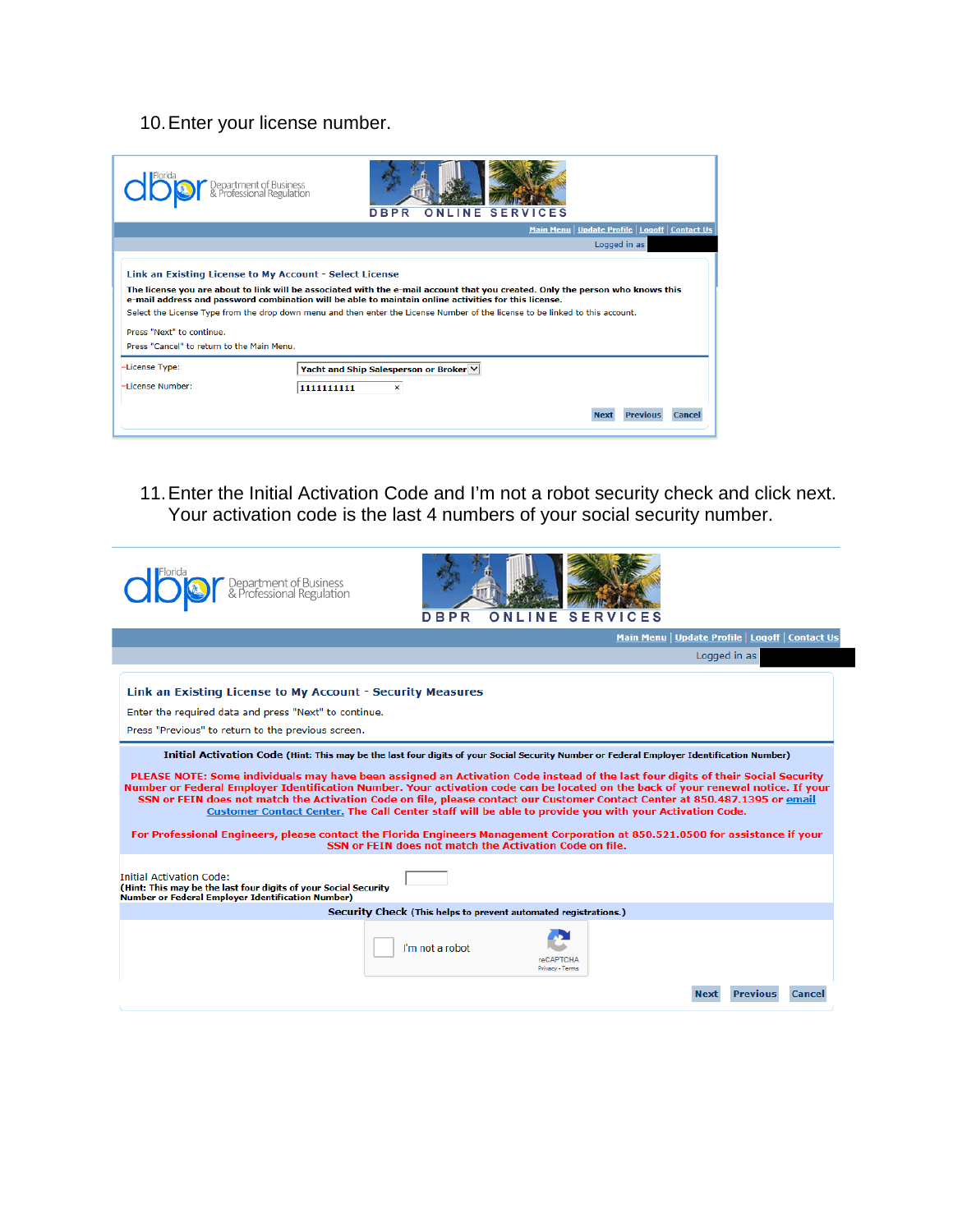# 10. Enter your license number.

| Link an Existing License to My Account - Select License<br>The license you are about to link will be associated with the e-mail account that you created. Only the person who knows this<br>e-mail address and password combination will be able to maintain online activities for this license.<br>Select the License Type from the drop down menu and then enter the License Number of the license to be linked to this account.<br>Press "Next" to continue.<br>Press "Cancel" to return to the Main Menu. |                                                     |      |     |                 |                                                  | Logged in as |  |
|---------------------------------------------------------------------------------------------------------------------------------------------------------------------------------------------------------------------------------------------------------------------------------------------------------------------------------------------------------------------------------------------------------------------------------------------------------------------------------------------------------------|-----------------------------------------------------|------|-----|-----------------|--------------------------------------------------|--------------|--|
|                                                                                                                                                                                                                                                                                                                                                                                                                                                                                                               |                                                     |      |     |                 | Main Menu   Update Profile   Logoff   Contact Us |              |  |
|                                                                                                                                                                                                                                                                                                                                                                                                                                                                                                               | Department of Business<br>& Professional Regulation | DBPR | INF | <b>SERVICES</b> |                                                  |              |  |

11.Enter the Initial Activation Code and I'm not a robot security check and click next. Your activation code is the last 4 numbers of your social security number.

| Department of Business<br>& Professional Regulatior                                                                                                                       | DBPR<br>ONLINE<br><b>SERVICES</b>                                                                                                                                                                                                                                                                                                                                                                                                                                                                                                                                                                                                                                                                                                                                                                                                                       |
|---------------------------------------------------------------------------------------------------------------------------------------------------------------------------|---------------------------------------------------------------------------------------------------------------------------------------------------------------------------------------------------------------------------------------------------------------------------------------------------------------------------------------------------------------------------------------------------------------------------------------------------------------------------------------------------------------------------------------------------------------------------------------------------------------------------------------------------------------------------------------------------------------------------------------------------------------------------------------------------------------------------------------------------------|
|                                                                                                                                                                           | Main Menu   Update Profile   Logoff   Contact Us                                                                                                                                                                                                                                                                                                                                                                                                                                                                                                                                                                                                                                                                                                                                                                                                        |
|                                                                                                                                                                           | Logged in as                                                                                                                                                                                                                                                                                                                                                                                                                                                                                                                                                                                                                                                                                                                                                                                                                                            |
| Link an Existing License to My Account - Security Measures<br>Enter the required data and press "Next" to continue.<br>Press "Previous" to return to the previous screen. |                                                                                                                                                                                                                                                                                                                                                                                                                                                                                                                                                                                                                                                                                                                                                                                                                                                         |
|                                                                                                                                                                           | Initial Activation Code (Hint: This may be the last four digits of your Social Security Number or Federal Employer Identification Number)<br>PLEASE NOTE: Some individuals may have been assigned an Activation Code instead of the last four digits of their Social Security<br>Number or Federal Employer Identification Number. Your activation code can be located on the back of your renewal notice. If your<br>SSN or FEIN does not match the Activation Code on file, please contact our Customer Contact Center at 850.487.1395 or email<br>Customer Contact Center. The Call Center staff will be able to provide you with your Activation Code.<br>For Professional Engineers, please contact the Florida Engineers Management Corporation at 850.521.0500 for assistance if your<br>SSN or FEIN does not match the Activation Code on file. |
| <b>Initial Activation Code:</b><br>(Hint: This may be the last four digits of your Social Security<br><b>Number or Federal Employer Identification Number)</b>            |                                                                                                                                                                                                                                                                                                                                                                                                                                                                                                                                                                                                                                                                                                                                                                                                                                                         |
|                                                                                                                                                                           | Security Check (This helps to prevent automated registrations.)                                                                                                                                                                                                                                                                                                                                                                                                                                                                                                                                                                                                                                                                                                                                                                                         |
|                                                                                                                                                                           | I'm not a robot<br><b>reCAPTCHA</b><br>Privacy - Terms                                                                                                                                                                                                                                                                                                                                                                                                                                                                                                                                                                                                                                                                                                                                                                                                  |
|                                                                                                                                                                           | <b>Previous</b><br>Cance                                                                                                                                                                                                                                                                                                                                                                                                                                                                                                                                                                                                                                                                                                                                                                                                                                |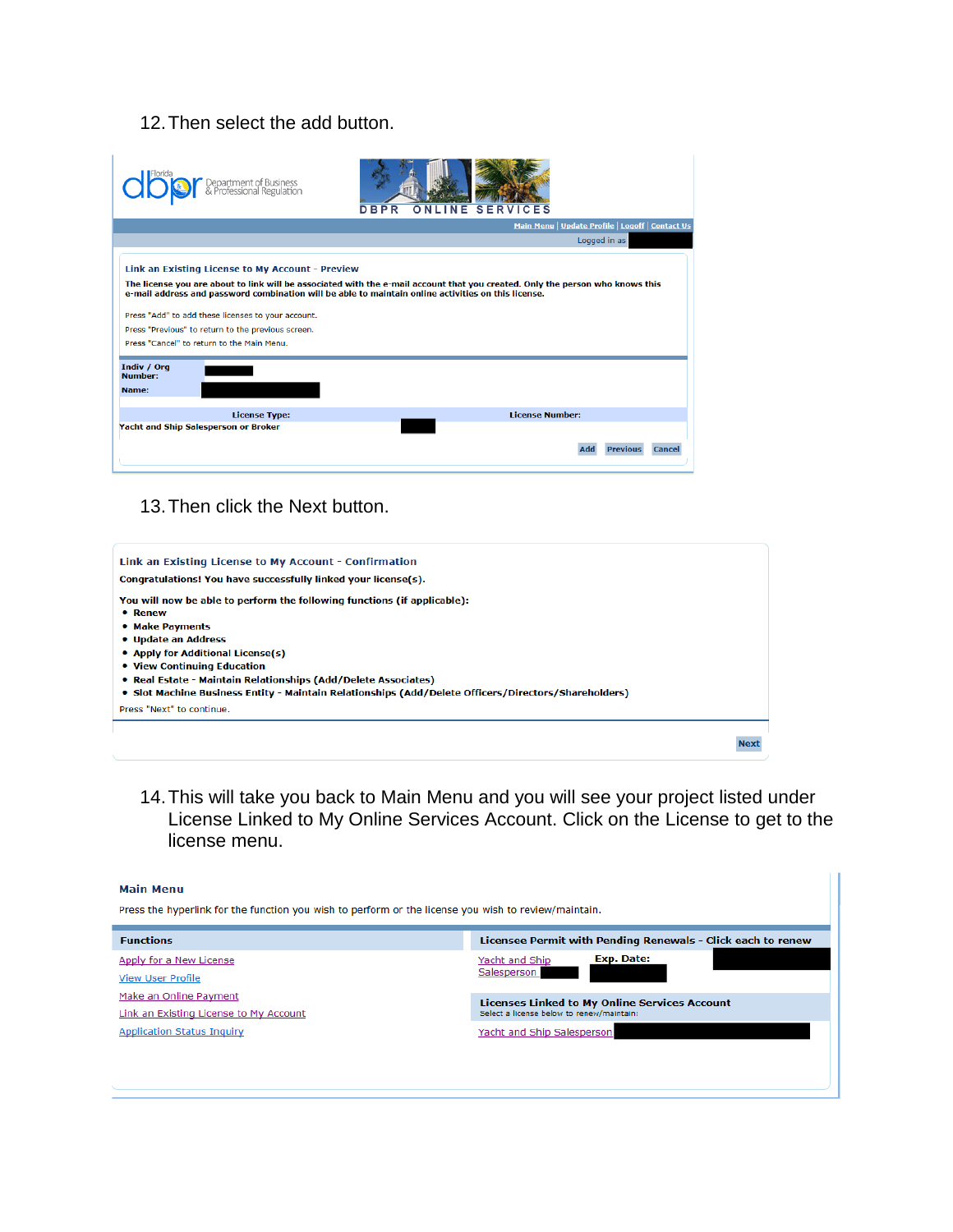### 12.Then select the add button.

| Department of Business<br>& Professional Regulation                                                                                                                                                                                           | DBPR<br><b>SERVICES</b><br>N F                                                                                                                                                                                                       |
|-----------------------------------------------------------------------------------------------------------------------------------------------------------------------------------------------------------------------------------------------|--------------------------------------------------------------------------------------------------------------------------------------------------------------------------------------------------------------------------------------|
|                                                                                                                                                                                                                                               | Main Menu   Update Profile   Logoff   Contact Us                                                                                                                                                                                     |
|                                                                                                                                                                                                                                               | Logged in as                                                                                                                                                                                                                         |
| Link an Existing License to My Account - Preview<br>Press "Add" to add these licenses to your account.<br>Press "Previous" to return to the previous screen.<br>Press "Cancel" to return to the Main Menu.<br>Indiv / Org<br>Number:<br>Name: | The license you are about to link will be associated with the e-mail account that you created. Only the person who knows this<br>e-mail address and password combination will be able to maintain online activities on this license. |
| <b>License Type:</b>                                                                                                                                                                                                                          | <b>License Number:</b>                                                                                                                                                                                                               |
| Yacht and Ship Salesperson or Broker                                                                                                                                                                                                          | <b>Previous</b><br><b>Cancel</b><br>Add                                                                                                                                                                                              |

13.Then click the Next button.

| Link an Existing License to My Account - Confirmation<br>Congratulations! You have successfully linked your license(s).                                                                                                                                                                                                                                                     |  |
|-----------------------------------------------------------------------------------------------------------------------------------------------------------------------------------------------------------------------------------------------------------------------------------------------------------------------------------------------------------------------------|--|
| You will now be able to perform the following functions (if applicable):<br>• Renew<br>• Make Payments<br>• Update an Address<br>• Apply for Additional License(s)<br>• View Continuing Education<br>• Real Estate - Maintain Relationships (Add/Delete Associates)<br>• Slot Machine Business Entity - Maintain Relationships (Add/Delete Officers/Directors/Shareholders) |  |
| Press "Next" to continue.                                                                                                                                                                                                                                                                                                                                                   |  |
| <b>Next</b>                                                                                                                                                                                                                                                                                                                                                                 |  |

14.This will take you back to Main Menu and you will see your project listed under License Linked to My Online Services Account. Click on the License to get to the license menu.

#### **Main Menu**

Press the hyperlink for the function you wish to perform or the license you wish to review/maintain.

| <b>Functions</b>                       | Licensee Permit with Pending Renewals - Click each to renew |
|----------------------------------------|-------------------------------------------------------------|
| Apply for a New License                | Exp. Date:<br>Yacht and Ship                                |
| <b>View User Profile</b>               | Salesperson                                                 |
| Make an Online Payment                 | <b>Licenses Linked to My Online Services Account</b>        |
| Link an Existing License to My Account | Select a license below to renew/maintain:                   |
| <b>Application Status Inquiry</b>      | Yacht and Ship Salesperson                                  |
|                                        |                                                             |
|                                        |                                                             |